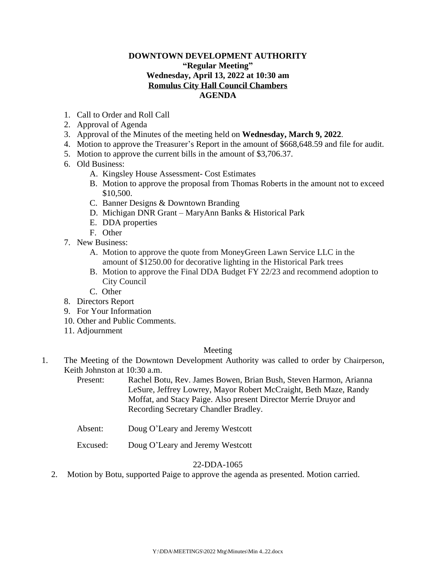# **DOWNTOWN DEVELOPMENT AUTHORITY "Regular Meeting" Wednesday, April 13, 2022 at 10:30 am Romulus City Hall Council Chambers AGENDA**

- 1. Call to Order and Roll Call
- 2. Approval of Agenda
- 3. Approval of the Minutes of the meeting held on **Wednesday, March 9, 2022**.
- 4. Motion to approve the Treasurer's Report in the amount of \$668,648.59 and file for audit.
- 5. Motion to approve the current bills in the amount of \$3,706.37.
- 6. Old Business:
	- A. Kingsley House Assessment- Cost Estimates
	- B. Motion to approve the proposal from Thomas Roberts in the amount not to exceed \$10,500.
	- C. Banner Designs & Downtown Branding
	- D. Michigan DNR Grant MaryAnn Banks & Historical Park
	- E. DDA properties
	- F. Other
- 7. New Business:
	- A. Motion to approve the quote from MoneyGreen Lawn Service LLC in the amount of \$1250.00 for decorative lighting in the Historical Park trees
	- B. Motion to approve the Final DDA Budget FY 22/23 and recommend adoption to City Council
	- C. Other
- 8. Directors Report
- 9. For Your Information
- 10. Other and Public Comments.
- 11. Adjournment

#### Meeting

1. The Meeting of the Downtown Development Authority was called to order by Chairperson, Keith Johnston at 10:30 a.m.

Present: Rachel Botu, Rev. James Bowen, Brian Bush, Steven Harmon, Arianna LeSure, Jeffrey Lowrey, Mayor Robert McCraight, Beth Maze, Randy Moffat, and Stacy Paige. Also present Director Merrie Druyor and Recording Secretary Chandler Bradley.

- Absent: Doug O'Leary and Jeremy Westcott
- Excused: Doug O'Leary and Jeremy Westcott

## 22-DDA-1065

2. Motion by Botu, supported Paige to approve the agenda as presented. Motion carried.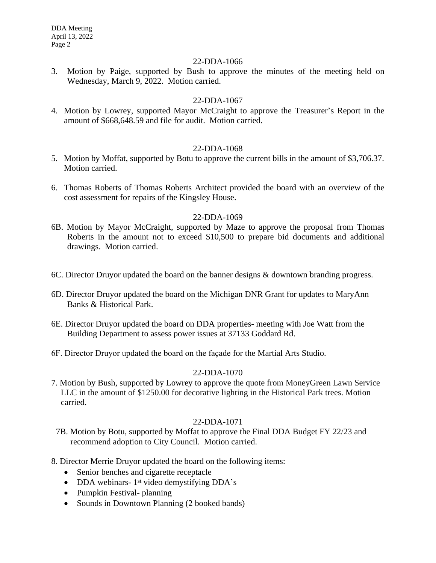#### 22-DDA-1066

3. Motion by Paige, supported by Bush to approve the minutes of the meeting held on Wednesday, March 9, 2022. Motion carried.

# 22-DDA-1067

4. Motion by Lowrey, supported Mayor McCraight to approve the Treasurer's Report in the amount of \$668,648.59 and file for audit. Motion carried.

# 22-DDA-1068

- 5. Motion by Moffat, supported by Botu to approve the current bills in the amount of \$3,706.37. Motion carried.
- 6. Thomas Roberts of Thomas Roberts Architect provided the board with an overview of the cost assessment for repairs of the Kingsley House.

## 22-DDA-1069

- 6B. Motion by Mayor McCraight, supported by Maze to approve the proposal from Thomas Roberts in the amount not to exceed \$10,500 to prepare bid documents and additional drawings. Motion carried.
- 6C. Director Druyor updated the board on the banner designs & downtown branding progress.
- 6D. Director Druyor updated the board on the Michigan DNR Grant for updates to MaryAnn Banks & Historical Park.
- 6E. Director Druyor updated the board on DDA properties- meeting with Joe Watt from the Building Department to assess power issues at 37133 Goddard Rd.
- 6F. Director Druyor updated the board on the façade for the Martial Arts Studio.

## 22-DDA-1070

7. Motion by Bush, supported by Lowrey to approve the quote from MoneyGreen Lawn Service LLC in the amount of \$1250.00 for decorative lighting in the Historical Park trees. Motion carried.

## 22-DDA-1071

- 7B. Motion by Botu, supported by Moffat to approve the Final DDA Budget FY 22/23 and recommend adoption to City Council. Motion carried.
- 8. Director Merrie Druyor updated the board on the following items:
	- Senior benches and cigarette receptacle
	- DDA webinars- 1<sup>st</sup> video demystifying DDA's
	- Pumpkin Festival- planning
	- Sounds in Downtown Planning (2 booked bands)